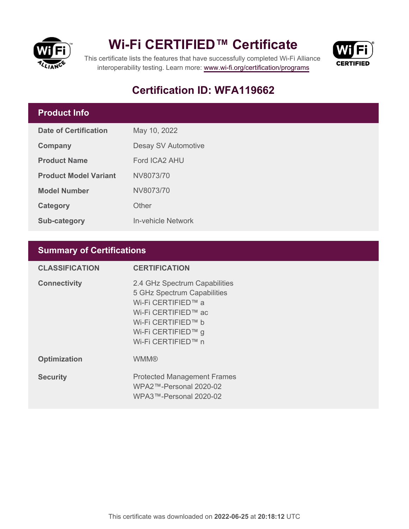

## **Wi-Fi CERTIFIED™ Certificate**



This certificate lists the features that have successfully completed Wi-Fi Alliance interoperability testing. Learn more:<www.wi-fi.org/certification/programs>

## **Certification ID: WFA119662**

### **Product Info**

| Date of Certification        | May 10, 2022        |  |  |
|------------------------------|---------------------|--|--|
| Company                      | Desay SV Automotive |  |  |
| <b>Product Name</b>          | Ford ICA2 AHU       |  |  |
| <b>Product Model Variant</b> | NV8073/70           |  |  |
| <b>Model Number</b>          | NV8073/70           |  |  |
| Category                     | Other               |  |  |
| <b>Sub-category</b>          | In-vehicle Network  |  |  |

### **Summary of Certifications**

| <b>CLASSIFICATION</b> | <b>CERTIFICATION</b>                                                                                                                                                        |
|-----------------------|-----------------------------------------------------------------------------------------------------------------------------------------------------------------------------|
| <b>Connectivity</b>   | 2.4 GHz Spectrum Capabilities<br>5 GHz Spectrum Capabilities<br>Wi-Fi CERTIFIED™ a<br>Wi-Fi CERTIFIED™ ac<br>Wi-Fi CERTIFIED™ b<br>Wi-Fi CERTIFIED™ g<br>Wi-Fi CERTIFIED™ n |
| <b>Optimization</b>   | <b>WMM®</b>                                                                                                                                                                 |
| <b>Security</b>       | <b>Protected Management Frames</b><br>WPA2™-Personal 2020-02<br>WPA3™-Personal 2020-02                                                                                      |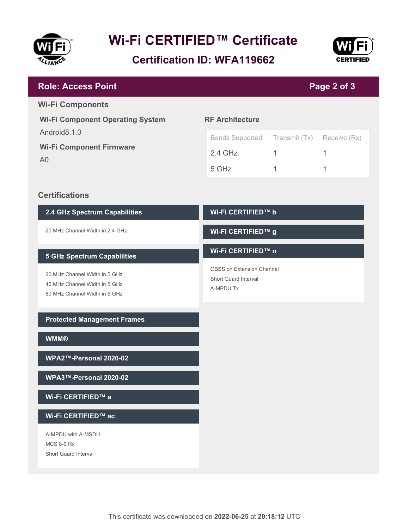

# **Wi-Fi CERTIFIED™ Certificate**

**Certification ID: WFA119662**



| <b>Role: Access Point</b>                                                                                                             |                                                                                                    |                         | Page 2 of 3            |  |  |
|---------------------------------------------------------------------------------------------------------------------------------------|----------------------------------------------------------------------------------------------------|-------------------------|------------------------|--|--|
| <b>Wi-Fi Components</b><br><b>Wi-Fi Component Operating System</b>                                                                    | <b>RF Architecture</b>                                                                             |                         |                        |  |  |
| Android8.1.0<br><b>Wi-Fi Component Firmware</b><br>A <sub>0</sub>                                                                     | <b>Bands Supported</b><br>$2.4$ GHz<br>5 GHz                                                       | Transmit (Tx)<br>1<br>1 | Receive (Rx)<br>1<br>1 |  |  |
| <b>Certifications</b>                                                                                                                 |                                                                                                    |                         |                        |  |  |
| 2.4 GHz Spectrum Capabilities                                                                                                         | Wi-Fi CERTIFIED™ b                                                                                 |                         |                        |  |  |
| 20 MHz Channel Width in 2.4 GHz                                                                                                       | Wi-Fi CERTIFIED™ g                                                                                 |                         |                        |  |  |
| <b>5 GHz Spectrum Capabilities</b><br>20 MHz Channel Width in 5 GHz<br>40 MHz Channel Width in 5 GHz<br>80 MHz Channel Width in 5 GHz | Wi-Fi CERTIFIED™ n<br><b>OBSS on Extension Channel</b><br><b>Short Guard Interval</b><br>A-MPDU Tx |                         |                        |  |  |
| <b>Protected Management Frames</b>                                                                                                    |                                                                                                    |                         |                        |  |  |
| <b>WMM®</b>                                                                                                                           |                                                                                                    |                         |                        |  |  |
| WPA2™-Personal 2020-02                                                                                                                |                                                                                                    |                         |                        |  |  |
| WPA3™-Personal 2020-02                                                                                                                |                                                                                                    |                         |                        |  |  |
| Wi-Fi CERTIFIED™ a                                                                                                                    |                                                                                                    |                         |                        |  |  |
| Wi-Fi CERTIFIED™ ac                                                                                                                   |                                                                                                    |                         |                        |  |  |
| A-MPDU with A-MSDU<br><b>MCS 8-9 Rx</b><br>Short Guard Interval                                                                       |                                                                                                    |                         |                        |  |  |